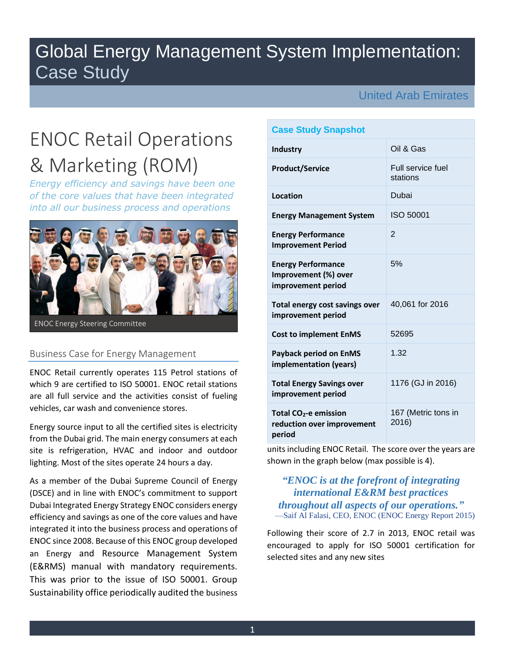## Global Energy Management System Implementation: Case Study

## United Arab Emirates

# ENOC Retail Operations & Marketing (ROM)

*Energy efficiency and savings have been one of the core values that have been integrated into all our business process and operations*



ENOC Energy Steering Committee

#### Business Case for Energy Management

ENOC Retail currently operates 115 Petrol stations of which 9 are certified to ISO 50001. ENOC retail stations are all full service and the activities consist of fueling vehicles, car wash and convenience stores.

Energy source input to all the certified sites is electricity from the Dubai grid. The main energy consumers at each site is refrigeration, HVAC and indoor and outdoor lighting. Most of the sites operate 24 hours a day.

As a member of the Dubai Supreme Council of Energy (DSCE) and in line with ENOC's commitment to support Dubai Integrated Energy Strategy ENOC considers energy efficiency and savings as one of the core values and have integrated it into the business process and operations of ENOC since 2008. Because of this ENOC group developed an Energy and Resource Management System (E&RMS) manual with mandatory requirements. This was prior to the issue of ISO 50001. Group Sustainability office periodically audited the business

### **Case Study Snapshot**

| <b>Industry</b>                                                           | Oil & Gas                     |
|---------------------------------------------------------------------------|-------------------------------|
| <b>Product/Service</b>                                                    | Full service fuel<br>stations |
| Location                                                                  | Dubai                         |
| <b>Energy Management System</b>                                           | ISO 50001                     |
| <b>Energy Performance</b><br><b>Improvement Period</b>                    | $\mathfrak{p}$                |
| <b>Energy Performance</b><br>Improvement (%) over<br>improvement period   | 5%                            |
| Total energy cost savings over<br>improvement period                      | 40,061 for 2016               |
| <b>Cost to implement EnMS</b>                                             | 52695                         |
| <b>Payback period on EnMS</b><br>implementation (years)                   | 1.32                          |
| <b>Total Energy Savings over</b><br>improvement period                    | 1176 (GJ in 2016)             |
| Total CO <sub>2</sub> -e emission<br>reduction over improvement<br>period | 167 (Metric tons in<br>2016)  |

units including ENOC Retail. The score over the years are shown in the graph below (max possible is 4).

## *"ENOC is at the forefront of integrating international E&RM best practices throughout all aspects of our operations."* —Saif Al Falasi, CEO, ENOC (ENOC Energy Report 2015)

Following their score of 2.7 in 2013, ENOC retail was encouraged to apply for ISO 50001 certification for selected sites and any new sites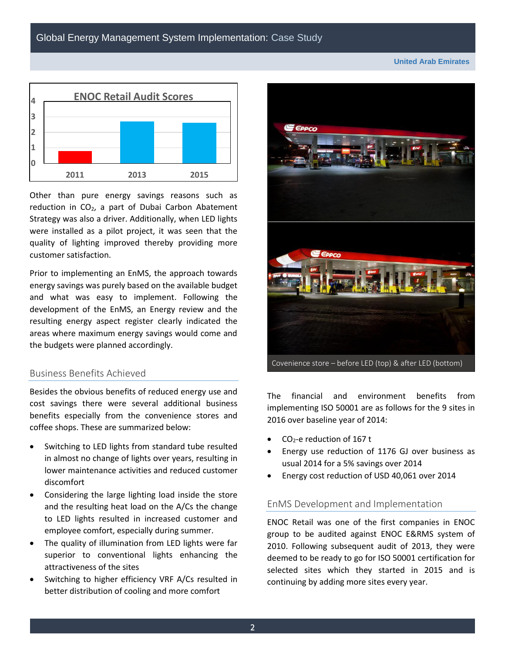**United Arab Emirates**



Other than pure energy savings reasons such as reduction in  $CO<sub>2</sub>$ , a part of Dubai Carbon Abatement Strategy was also a driver. Additionally, when LED lights were installed as a pilot project, it was seen that the quality of lighting improved thereby providing more customer satisfaction.

Prior to implementing an EnMS, the approach towards energy savings was purely based on the available budget and what was easy to implement. Following the development of the EnMS, an Energy review and the resulting energy aspect register clearly indicated the areas where maximum energy savings would come and the budgets were planned accordingly.

#### Business Benefits Achieved

Besides the obvious benefits of reduced energy use and cost savings there were several additional business benefits especially from the convenience stores and coffee shops. These are summarized below:

- Switching to LED lights from standard tube resulted in almost no change of lights over years, resulting in lower maintenance activities and reduced customer discomfort
- Considering the large lighting load inside the store and the resulting heat load on the A/Cs the change to LED lights resulted in increased customer and employee comfort, especially during summer.
- The quality of illumination from LED lights were far superior to conventional lights enhancing the attractiveness of the sites
- Switching to higher efficiency VRF A/Cs resulted in better distribution of cooling and more comfort



The financial and environment benefits from implementing ISO 50001 are as follows for the 9 sites in 2016 over baseline year of 2014:

- $CO<sub>2</sub>$ -e reduction of 167 t
- Energy use reduction of 1176 GJ over business as usual 2014 for a 5% savings over 2014
- Energy cost reduction of USD 40,061 over 2014

#### EnMS Development and Implementation

ENOC Retail was one of the first companies in ENOC group to be audited against ENOC E&RMS system of 2010. Following subsequent audit of 2013, they were deemed to be ready to go for ISO 50001 certification for selected sites which they started in 2015 and is continuing by adding more sites every year.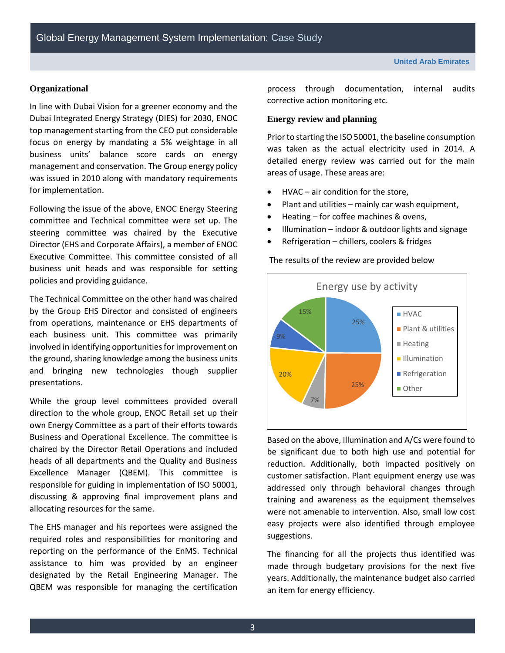#### **Organizational**

In line with Dubai Vision for a greener economy and the Dubai Integrated Energy Strategy (DIES) for 2030, ENOC top management starting from the CEO put considerable focus on energy by mandating a 5% weightage in all business units' balance score cards on energy management and conservation. The Group energy policy was issued in 2010 along with mandatory requirements for implementation.

Following the issue of the above, ENOC Energy Steering committee and Technical committee were set up. The steering committee was chaired by the Executive Director (EHS and Corporate Affairs), a member of ENOC Executive Committee. This committee consisted of all business unit heads and was responsible for setting policies and providing guidance.

The Technical Committee on the other hand was chaired by the Group EHS Director and consisted of engineers from operations, maintenance or EHS departments of each business unit. This committee was primarily involved in identifying opportunities for improvement on the ground, sharing knowledge among the business units and bringing new technologies though supplier presentations.

While the group level committees provided overall direction to the whole group, ENOC Retail set up their own Energy Committee as a part of their efforts towards Business and Operational Excellence. The committee is chaired by the Director Retail Operations and included heads of all departments and the Quality and Business Excellence Manager (QBEM). This committee is responsible for guiding in implementation of ISO 50001, discussing & approving final improvement plans and allocating resources for the same.

The EHS manager and his reportees were assigned the required roles and responsibilities for monitoring and reporting on the performance of the EnMS. Technical assistance to him was provided by an engineer designated by the Retail Engineering Manager. The QBEM was responsible for managing the certification

process through documentation, internal audits corrective action monitoring etc.

#### **Energy review and planning**

Prior to starting the ISO 50001, the baseline consumption was taken as the actual electricity used in 2014. A detailed energy review was carried out for the main areas of usage. These areas are:

- HVAC air condition for the store,
- Plant and utilities mainly car wash equipment,
- Heating for coffee machines & ovens,
- Illumination indoor & outdoor lights and signage
- Refrigeration chillers, coolers & fridges

The results of the review are provided below



Based on the above, Illumination and A/Cs were found to be significant due to both high use and potential for reduction. Additionally, both impacted positively on customer satisfaction. Plant equipment energy use was addressed only through behavioral changes through training and awareness as the equipment themselves were not amenable to intervention. Also, small low cost easy projects were also identified through employee suggestions.

The financing for all the projects thus identified was made through budgetary provisions for the next five years. Additionally, the maintenance budget also carried an item for energy efficiency.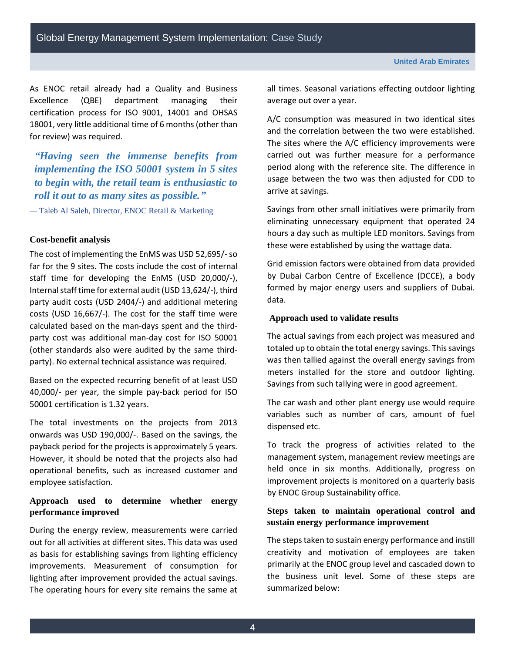As ENOC retail already had a Quality and Business Excellence (QBE) department managing their certification process for ISO 9001, 14001 and OHSAS 18001, very little additional time of 6 months (other than for review) was required.

## *"Having seen the immense benefits from implementing the ISO 50001 system in 5 sites to begin with, the retail team is enthusiastic to roll it out to as many sites as possible."*

— Taleb Al Saleh, Director, ENOC Retail & Marketing

#### **Cost-benefit analysis**

The cost of implementing the EnMS was USD 52,695/-so far for the 9 sites. The costs include the cost of internal staff time for developing the EnMS (USD 20,000/-), Internal staff time for external audit (USD 13,624/-), third party audit costs (USD 2404/-) and additional metering costs (USD 16,667/-). The cost for the staff time were calculated based on the man-days spent and the thirdparty cost was additional man-day cost for ISO 50001 (other standards also were audited by the same thirdparty). No external technical assistance was required.

Based on the expected recurring benefit of at least USD 40,000/- per year, the simple pay-back period for ISO 50001 certification is 1.32 years.

The total investments on the projects from 2013 onwards was USD 190,000/-. Based on the savings, the payback period for the projects is approximately 5 years. However, it should be noted that the projects also had operational benefits, such as increased customer and employee satisfaction.

#### **Approach used to determine whether energy performance improved**

During the energy review, measurements were carried out for all activities at different sites. This data was used as basis for establishing savings from lighting efficiency improvements. Measurement of consumption for lighting after improvement provided the actual savings. The operating hours for every site remains the same at

all times. Seasonal variations effecting outdoor lighting average out over a year.

A/C consumption was measured in two identical sites and the correlation between the two were established. The sites where the A/C efficiency improvements were carried out was further measure for a performance period along with the reference site. The difference in usage between the two was then adjusted for CDD to arrive at savings.

Savings from other small initiatives were primarily from eliminating unnecessary equipment that operated 24 hours a day such as multiple LED monitors. Savings from these were established by using the wattage data.

Grid emission factors were obtained from data provided by Dubai Carbon Centre of Excellence (DCCE), a body formed by major energy users and suppliers of Dubai. data.

#### **Approach used to validate results**

The actual savings from each project was measured and totaled up to obtain the total energy savings. This savings was then tallied against the overall energy savings from meters installed for the store and outdoor lighting. Savings from such tallying were in good agreement.

The car wash and other plant energy use would require variables such as number of cars, amount of fuel dispensed etc.

To track the progress of activities related to the management system, management review meetings are held once in six months. Additionally, progress on improvement projects is monitored on a quarterly basis by ENOC Group Sustainability office.

#### **Steps taken to maintain operational control and sustain energy performance improvement**

The steps taken to sustain energy performance and instill creativity and motivation of employees are taken primarily at the ENOC group level and cascaded down to the business unit level. Some of these steps are summarized below: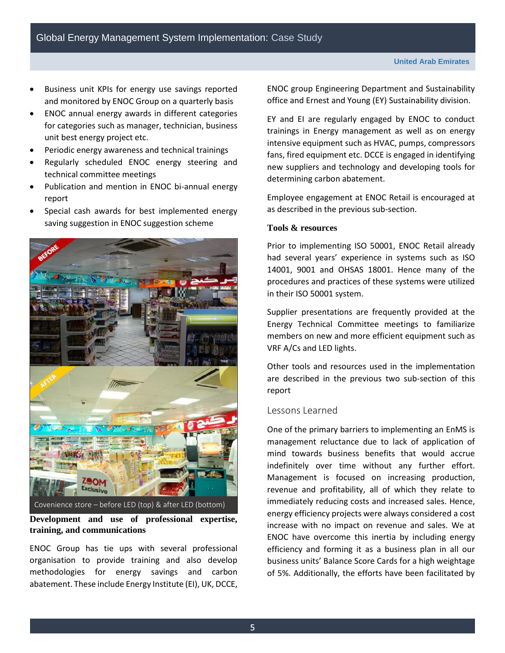- Business unit KPIs for energy use savings reported and monitored by ENOC Group on a quarterly basis
- ENOC annual energy awards in different categories for categories such as manager, technician, business unit best energy project etc.
- Periodic energy awareness and technical trainings
- Regularly scheduled ENOC energy steering and technical committee meetings
- Publication and mention in ENOC bi-annual energy report
- Special cash awards for best implemented energy saving suggestion in ENOC suggestion scheme



**Development and use of professional expertise, training, and communications**

ENOC Group has tie ups with several professional organisation to provide training and also develop methodologies for energy savings and carbon abatement. These include Energy Institute (EI), UK, DCCE, ENOC group Engineering Department and Sustainability office and Ernest and Young (EY) Sustainability division.

EY and EI are regularly engaged by ENOC to conduct trainings in Energy management as well as on energy intensive equipment such as HVAC, pumps, compressors fans, fired equipment etc. DCCE is engaged in identifying new suppliers and technology and developing tools for determining carbon abatement.

Employee engagement at ENOC Retail is encouraged at as described in the previous sub-section.

#### **Tools & resources**

Prior to implementing ISO 50001, ENOC Retail already had several years' experience in systems such as ISO 14001, 9001 and OHSAS 18001. Hence many of the procedures and practices of these systems were utilized in their ISO 50001 system.

Supplier presentations are frequently provided at the Energy Technical Committee meetings to familiarize members on new and more efficient equipment such as VRF A/Cs and LED lights.

Other tools and resources used in the implementation are described in the previous two sub-section of this report

#### Lessons Learned

One of the primary barriers to implementing an EnMS is management reluctance due to lack of application of mind towards business benefits that would accrue indefinitely over time without any further effort. Management is focused on increasing production, revenue and profitability, all of which they relate to immediately reducing costs and increased sales. Hence, energy efficiency projects were always considered a cost increase with no impact on revenue and sales. We at ENOC have overcome this inertia by including energy efficiency and forming it as a business plan in all our business units' Balance Score Cards for a high weightage of 5%. Additionally, the efforts have been facilitated by